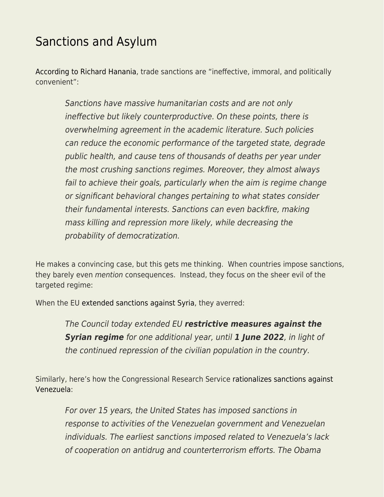## [Sanctions and Asylum](https://everything-voluntary.com/sanctions-and-asylum)

[According to Richard Hanania](https://www.cato.org/policy-analysis/ineffective-immoral-politically-convenient-americas-overreliance-economic-sanctions), trade sanctions are "ineffective, immoral, and politically convenient":

Sanctions have massive humanitarian costs and are not only ineffective but likely counterproductive. On these points, there is overwhelming agreement in the academic literature. Such policies can reduce the economic performance of the targeted state, degrade public health, and cause tens of thousands of deaths per year under the most crushing sanctions regimes. Moreover, they almost always fail to achieve their goals, particularly when the aim is regime change or significant behavioral changes pertaining to what states consider their fundamental interests. Sanctions can even backfire, making mass killing and repression more likely, while decreasing the probability of democratization.

He makes a convincing case, but this gets me thinking. When countries impose sanctions, they barely even mention consequences. Instead, they focus on the sheer evil of the targeted regime:

When the EU [extended sanctions against Syria](https://www.consilium.europa.eu/en/press/press-releases/2021/05/27/syria-council-extends-sanctions-against-the-regime-for-another-year/), they averred:

The Council today extended EU *restrictive measures against the Syrian regime* for one additional year, until *1 June 2022*, in light of the continued repression of the civilian population in the country.

Similarly, here's how the Congressional Research Service [rationalizes sanctions against](https://sgp.fas.org/crs/row/IF10715.pdf) [Venezuela:](https://sgp.fas.org/crs/row/IF10715.pdf)

For over 15 years, the United States has imposed sanctions in response to activities of the Venezuelan government and Venezuelan individuals. The earliest sanctions imposed related to Venezuela's lack of cooperation on antidrug and counterterrorism efforts. The Obama